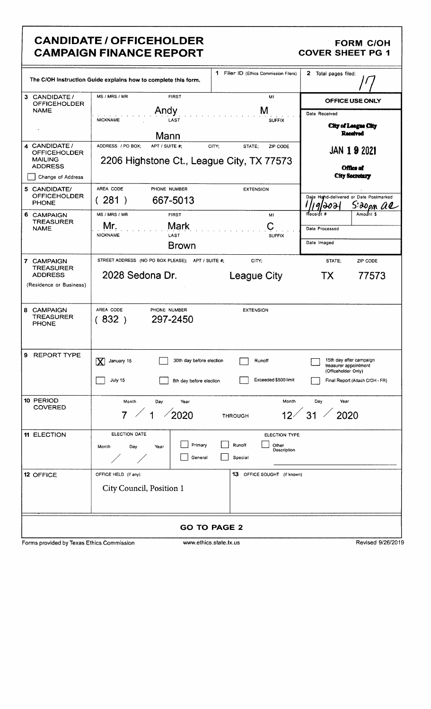### CANDIDATE / OFFICEHOLDER FORM COH CANPAIGN FINANCE REPORT **CAMPAIGN FINANCE REPORT**

|                                                                                                      | 1 Filer ID (Ethics Commission Filers)<br>The C/OH Instruction Guide explains how to complete this form.                                                                              | $\mathbf{z}$<br>Total pages filed:                                                                                       |
|------------------------------------------------------------------------------------------------------|--------------------------------------------------------------------------------------------------------------------------------------------------------------------------------------|--------------------------------------------------------------------------------------------------------------------------|
| 3 CANDIDATE /<br><b>OFFICEHOLDER</b><br><b>NAME</b>                                                  | MS / MRS / MR<br><b>FIRST</b><br>MI<br>Andy<br>M<br><b>NICKNAME</b><br>LAST<br><b>SUFFIX</b>                                                                                         | OFFICE USE ONLY<br>Date Received<br>City of League City<br><b>Received</b>                                               |
| 4 CANDIDATE /<br><b>OFFICEHOLDER</b><br><b>MAILING</b><br><b>ADDRESS</b><br>Change of Address        | Mann<br>ADDRESS / PO BOX;<br>APT / SUITE #:<br>CITY;<br>STATE:<br>ZIP CODE<br>2206 Highstone Ct., League City, TX 77573                                                              | <b>JAN 1 9 2021</b><br><b>Office of</b><br><b>City Secretary</b>                                                         |
| 5 CANDIDATE/<br><b>OFFICEHOLDER</b><br><b>PHONE</b><br>6 CAMPAIGN<br><b>TREASURER</b><br><b>NAME</b> | AREA CODE<br>PHONE NUMBER<br><b>EXTENSION</b><br>(281)<br>667-5013<br>MS / MRS / MR<br><b>FIRST</b><br>MI<br>Mark<br>Mr.<br><b>NICKNAME</b><br>LAST<br><b>SUFFIX</b><br><b>Brown</b> | Date Hand-delivered or Date Postmarked<br>S:20pm al<br>পাঠ্চস<br>Amount \$<br>Receipt #<br>Date Processed<br>Date Imaged |
| 7 CAMPAIGN<br><b>TREASURER</b><br><b>ADDRESS</b><br>(Residence or Business)                          | STREET ADDRESS (NO PO BOX PLEASE); APT / SUITE #;<br>CITY;<br>2028 Sedona Dr.<br><b>League City</b>                                                                                  | STATE:<br>ZIP CODE<br>TX<br>77573                                                                                        |
| 8 CAMPAIGN<br><b>TREASURER</b><br><b>PHONE</b>                                                       | AREA CODE<br>PHONE NUMBER<br><b>EXTENSION</b><br>297-2450<br>(832)                                                                                                                   |                                                                                                                          |
| 9 REPORT TYPE                                                                                        | 30th day before election<br>January 15<br>Runoff<br>IX<br>July 15<br>Exceeded \$500 limit<br>8th day before election                                                                 | 15th day after campaign<br>treasurer appointment<br>(Officeholder Only)<br>Final Report (Attach C/OH - FR)               |
| 10 PERIOD<br><b>COVERED</b>                                                                          | Month<br>Month<br>Day<br>Year<br>$12^{2}$ 31<br>2020<br><b>THROUGH</b>                                                                                                               | Day<br>Year<br>2020                                                                                                      |
| 11 ELECTION                                                                                          | ELECTION DATE<br><b>ELECTION TYPE</b><br>Primary<br>Runoff<br>Other<br>Month<br>Day<br>Year<br>Description<br>General<br>Special                                                     |                                                                                                                          |
| <b>12 OFFICE</b>                                                                                     | 13 OFFICE SOUGHT (if known)<br>OFFICE HELD (if any)<br>City Council, Position 1                                                                                                      |                                                                                                                          |
|                                                                                                      | <b>GO TO PAGE 2</b>                                                                                                                                                                  |                                                                                                                          |
| Forms provided by Texas Ethics Commission                                                            | www.ethics.state.tx.us                                                                                                                                                               | Revised 9/26/2019                                                                                                        |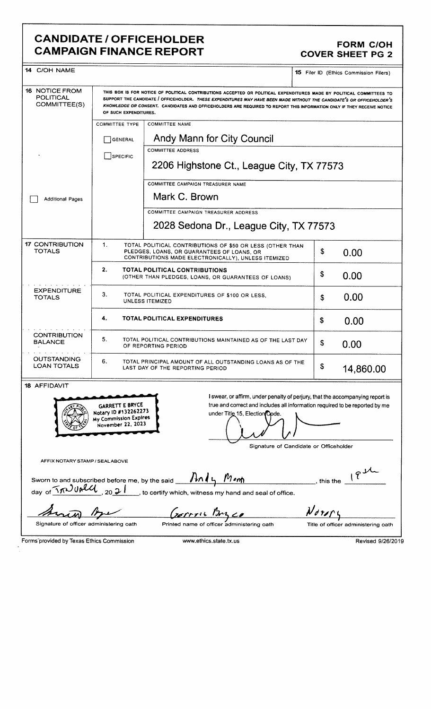### CANDIDATE / OFFICEHOLDER<br>CAMPAIGN FINANCE REPORT COVER SHEET PG 2 **CAMPAIGN FINANCE REPORT**

| <b>14 C/OH NAME</b>                                |                                                                                              |                                                                                                                                                                                                                                                                                                                                                                         | <b>15</b> Filer ID (Ethics Commission Filers)          |
|----------------------------------------------------|----------------------------------------------------------------------------------------------|-------------------------------------------------------------------------------------------------------------------------------------------------------------------------------------------------------------------------------------------------------------------------------------------------------------------------------------------------------------------------|--------------------------------------------------------|
| <b>16 NOTICE FROM</b><br>POLITICAL<br>COMMITTEE(S) | OF SUCH EXPENDITURES.                                                                        | THIS BOX IS FOR NOTICE OF POLITICAL CONTRIBUTIONS ACCEPTED OR POLITICAL EXPENDITURES MADE BY POLITICAL COMMITTEES TO<br>SUPPORT THE CANDIDATE / OFFICEHOLDER. THESE EXPENDITURES MAY HAVE BEEN MADE WITHOUT THE CANDIDATE'S OR OFFICEHOLDER'S<br>KNOWLEDGE OR CONSENT. CANDIDATES AND OFFICEHOLDERS ARE REQUIRED TO REPORT THIS INFORMATION ONLY IF THEY RECEIVE NOTICE |                                                        |
|                                                    | <b>COMMITTEE TYPE</b>                                                                        | <b>COMMITTEE NAME</b>                                                                                                                                                                                                                                                                                                                                                   |                                                        |
|                                                    | <b>GENERAL</b>                                                                               | Andy Mann for City Council                                                                                                                                                                                                                                                                                                                                              |                                                        |
|                                                    | SPECIFIC                                                                                     | <b>COMMITTEE ADDRESS</b><br>2206 Highstone Ct., League City, TX 77573                                                                                                                                                                                                                                                                                                   |                                                        |
|                                                    |                                                                                              | COMMITTEE CAMPAIGN TREASURER NAME                                                                                                                                                                                                                                                                                                                                       |                                                        |
| <b>Additional Pages</b>                            |                                                                                              | Mark C. Brown                                                                                                                                                                                                                                                                                                                                                           |                                                        |
|                                                    |                                                                                              | COMMITTEE CAMPAIGN TREASURER ADDRESS                                                                                                                                                                                                                                                                                                                                    |                                                        |
|                                                    |                                                                                              | 2028 Sedona Dr., League City, TX 77573                                                                                                                                                                                                                                                                                                                                  |                                                        |
| <b>17 CONTRIBUTION</b><br>TOTALS                   | 1.                                                                                           | TOTAL POLITICAL CONTRIBUTIONS OF \$50 OR LESS (OTHER THAN<br>PLEDGES, LOANS, OR GUARANTEES OF LOANS, OR<br>CONTRIBUTIONS MADE ELECTRONICALLY), UNLESS ITEMIZED                                                                                                                                                                                                          | \$<br>0.00                                             |
|                                                    | 2.                                                                                           | TOTAL POLITICAL CONTRIBUTIONS<br>(OTHER THAN PLEDGES, LOANS, OR GUARANTEES OF LOANS)                                                                                                                                                                                                                                                                                    | \$<br>0.00                                             |
| <b>EXPENDITURE</b><br><b>TOTALS</b>                | З.<br>TOTAL POLITICAL EXPENDITURES OF \$100 OR LESS.<br>UNLESS ITEMIZED                      |                                                                                                                                                                                                                                                                                                                                                                         | 0.00<br>S                                              |
|                                                    | 4.                                                                                           | <b>TOTAL POLITICAL EXPENDITURES</b>                                                                                                                                                                                                                                                                                                                                     | \$<br>0.00                                             |
| <b>CONTRIBUTION</b><br>BALANCE                     | 5.<br>TOTAL POLITICAL CONTRIBUTIONS MAINTAINED AS OF THE LAST DAY<br>OF REPORTING PERIOD     | \$<br>0.00                                                                                                                                                                                                                                                                                                                                                              |                                                        |
| <b>OUTSTANDING</b><br><b>LOAN TOTALS</b>           | 6.                                                                                           | TOTAL PRINCIPAL AMOUNT OF ALL OUTSTANDING LOANS AS OF THE<br>LAST DAY OF THE REPORTING PERIOD                                                                                                                                                                                                                                                                           | \$<br>14,860.00                                        |
| <b>18 AFFIDAVIT</b>                                |                                                                                              |                                                                                                                                                                                                                                                                                                                                                                         |                                                        |
|                                                    | <b>GARRETT E BRYCE</b><br>Notary ID #132262273<br>My Commission Expires<br>November 22, 2023 | I swear, or affirm, under penalty of perjury, that the accompanying report is<br>true and correct and includes all information required to be reported by me<br>under Title 15, Election Opde.<br>Signature of Candidate or Officeholder                                                                                                                                |                                                        |
| AFFIX NOTARY STAMP / SEALABOVE                     |                                                                                              |                                                                                                                                                                                                                                                                                                                                                                         |                                                        |
|                                                    |                                                                                              | Sworn to and subscribed before me, by the said <b>Andy Mem</b>                                                                                                                                                                                                                                                                                                          | $\overline{\qquad \qquad }$ , this the $\frac{17}{17}$ |
|                                                    |                                                                                              | day of $\widehat{\mathcal{M}}$ URU 2021 , to certify which, witness my hand and seal of office.                                                                                                                                                                                                                                                                         |                                                        |
|                                                    |                                                                                              | Gerros Bryco                                                                                                                                                                                                                                                                                                                                                            | $N$ d ya                                               |
| Signature of officer administering oath            |                                                                                              | Printed name of officer administering oath                                                                                                                                                                                                                                                                                                                              | Title of officer administering oath                    |
| Forms provided by Texas Ethics Commission          |                                                                                              | www.ethics.state.tx.us                                                                                                                                                                                                                                                                                                                                                  | Revised 9/26/2019                                      |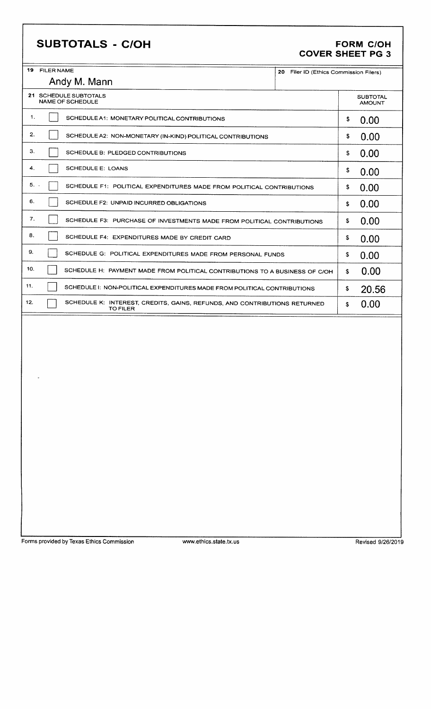## SUBTOTALS - C/OH

# FORM C/OH<br>COVER SHEET PG 3

| 20 Filer ID (Ethics Commission Filers)                      |                                                                                                                                                                                                                                                                                                                                                                                                                                                        |
|-------------------------------------------------------------|--------------------------------------------------------------------------------------------------------------------------------------------------------------------------------------------------------------------------------------------------------------------------------------------------------------------------------------------------------------------------------------------------------------------------------------------------------|
|                                                             |                                                                                                                                                                                                                                                                                                                                                                                                                                                        |
|                                                             | <b>SUBTOTAL</b><br><b>AMOUNT</b>                                                                                                                                                                                                                                                                                                                                                                                                                       |
| \$                                                          | 0.00                                                                                                                                                                                                                                                                                                                                                                                                                                                   |
| \$                                                          | 0.00                                                                                                                                                                                                                                                                                                                                                                                                                                                   |
| \$                                                          | 0.00                                                                                                                                                                                                                                                                                                                                                                                                                                                   |
| \$                                                          | 0.00                                                                                                                                                                                                                                                                                                                                                                                                                                                   |
| \$                                                          | 0.00                                                                                                                                                                                                                                                                                                                                                                                                                                                   |
| \$                                                          | 0.00                                                                                                                                                                                                                                                                                                                                                                                                                                                   |
| \$                                                          | 0.00                                                                                                                                                                                                                                                                                                                                                                                                                                                   |
| \$                                                          | 0.00                                                                                                                                                                                                                                                                                                                                                                                                                                                   |
| \$                                                          | 0.00                                                                                                                                                                                                                                                                                                                                                                                                                                                   |
| $$\mathbb{S}$$                                              | 0.00                                                                                                                                                                                                                                                                                                                                                                                                                                                   |
| $\pmb{\mathbb{S}}$                                          | 20.56                                                                                                                                                                                                                                                                                                                                                                                                                                                  |
| \$                                                          | 0.00                                                                                                                                                                                                                                                                                                                                                                                                                                                   |
|                                                             |                                                                                                                                                                                                                                                                                                                                                                                                                                                        |
| SCHEDULE A2: NON-MONETARY (IN-KIND) POLITICAL CONTRIBUTIONS | SCHEDULE F1: POLITICAL EXPENDITURES MADE FROM POLITICAL CONTRIBUTIONS<br>SCHEDULE F3: PURCHASE OF INVESTMENTS MADE FROM POLITICAL CONTRIBUTIONS<br>SCHEDULE G: POLITICAL EXPENDITURES MADE FROM PERSONAL FUNDS<br>SCHEDULE H: PAYMENT MADE FROM POLITICAL CONTRIBUTIONS TO A BUSINESS OF C/OH<br>SCHEDULE I: NON-POLITICAL EXPENDITURES MADE FROM POLITICAL CONTRIBUTIONS<br>SCHEDULE K: INTEREST, CREDITS, GAINS, REFUNDS, AND CONTRIBUTIONS RETURNED |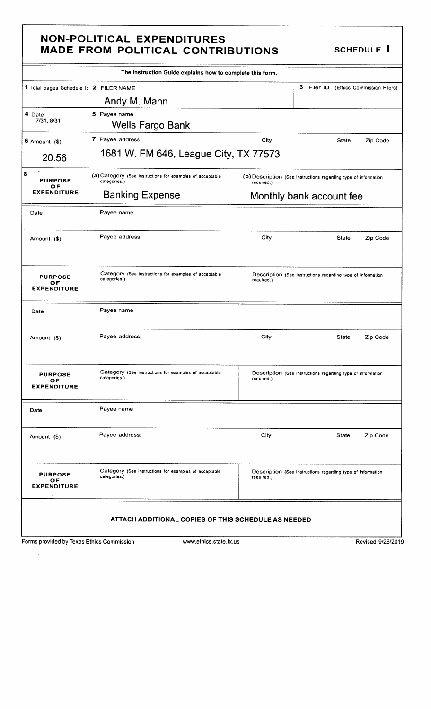### **NON-POLITICAL EXPENDITURES** MADE FROM POLITICAL CONTRIBUTIONS SCHEDULE I

|                                            | The Instruction Guide explains how to complete this form.                 |            |                                                                 |                   |
|--------------------------------------------|---------------------------------------------------------------------------|------------|-----------------------------------------------------------------|-------------------|
| 1 Total pages Schedule I:                  | 2 FILER NAME                                                              |            | 3<br>Filer ID (Ethics Commission Filers)                        |                   |
|                                            | Andy M. Mann                                                              |            |                                                                 |                   |
| 4 Date<br>7/31, 8/31                       | 5 Payee name<br>Wells Fargo Bank                                          |            |                                                                 |                   |
| $6$ Amount $(3)$                           | 7 Payee address;                                                          | City       | <b>State</b>                                                    | Zip Code          |
| 20.56                                      | 1681 W. FM 646, League City, TX 77573                                     |            |                                                                 |                   |
| 8<br><b>PURPOSE</b><br><b>OF</b>           | (a) Category (See instructions for examples of acceptable<br>categories.) | required.) | (b) Description (See instructions regarding type of information |                   |
| <b>EXPENDITURE</b>                         | <b>Banking Expense</b>                                                    |            | Monthly bank account fee                                        |                   |
| Date                                       | Payee name                                                                |            |                                                                 |                   |
| Amount (\$)                                | Payee address;                                                            | City       | State                                                           | Zip Code          |
| <b>PURPOSE</b><br>OF<br><b>EXPENDITURE</b> | Category (See instructions for examples of acceptable<br>categories.)     | required.) | Description (See instructions regarding type of information     |                   |
| Date                                       | Payee name                                                                |            |                                                                 |                   |
| Amount (\$)                                | Payee address;                                                            | City       | <b>State</b>                                                    | Zip Code          |
| <b>PURPOSE</b><br>ОF<br><b>EXPENDITURE</b> | Category (See instructions for examples of acceptable<br>categories.)     | required.) | Description (See instructions regarding type of information     |                   |
| Date                                       | Payee name                                                                |            |                                                                 |                   |
| Amount (\$)                                | Payee address;                                                            | City       | State                                                           | Zip Code          |
| <b>PURPOSE</b><br>OF<br><b>EXPENDITURE</b> | Category (See instructions for examples of acceptable<br>categories.)     | required.) | Description (See instructions regarding type of information     |                   |
|                                            | ATTACH ADDITIONAL COPIES OF THIS SCHEDULE AS NEEDED                       |            |                                                                 |                   |
| Forms provided by Texas Ethics Commission  | www.ethics.state.tx.us                                                    |            |                                                                 | Revised 9/26/2019 |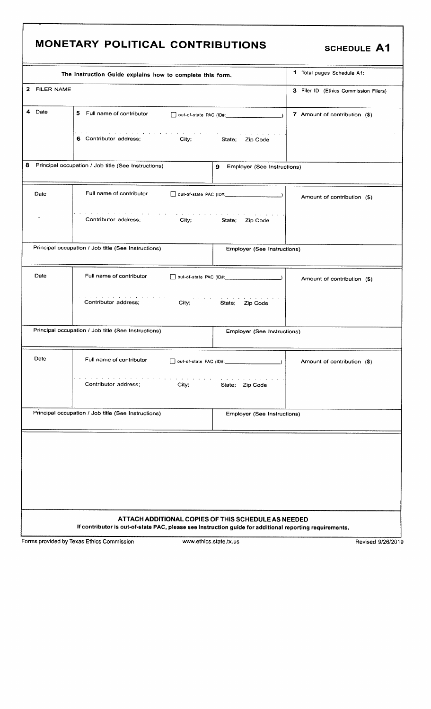# MONETARY POLITICAL CONTRIBUTIONS SCHEDULE A1

| The Instruction Guide explains how to complete this form.                                                                                                                                                                                                                      | 1 Total pages Schedule A1:            |
|--------------------------------------------------------------------------------------------------------------------------------------------------------------------------------------------------------------------------------------------------------------------------------|---------------------------------------|
| 2 FILER NAME                                                                                                                                                                                                                                                                   | 3 Filer ID (Ethics Commission Filers) |
| 4 Date<br>5 Full name of contributor<br>$\Box$ out-of-state PAC (ID#: $\Box$ )                                                                                                                                                                                                 | 7 Amount of contribution (\$)         |
| 6 Contributor address;<br><b>City;</b><br>State; Zip Code                                                                                                                                                                                                                      |                                       |
| 8<br>Principal occupation / Job title (See Instructions)<br>9<br>Employer (See Instructions)                                                                                                                                                                                   |                                       |
| Full name of contributor<br>Date                                                                                                                                                                                                                                               | Amount of contribution (\$)           |
| the company of the company of the company of the company of the company of the company of the company of the company of the company of the company of the company of the company of the company of the company of the company<br>Contributor address;<br>City; State; Zip Code |                                       |
| Principal occupation / Job title (See Instructions)<br>Employer (See Instructions)                                                                                                                                                                                             |                                       |
| Date<br>Full name of contributor                                                                                                                                                                                                                                               | Amount of contribution (\$)           |
| Contributor address:<br>City;<br>State; Zip Code                                                                                                                                                                                                                               |                                       |
| Principal occupation / Job title (See Instructions)<br>Employer (See Instructions)                                                                                                                                                                                             |                                       |
| Date<br>Full name of contributor<br>$\rightarrow$                                                                                                                                                                                                                              | Amount of contribution (\$)           |
| Contributor address;<br>City;<br>State; Zip Code                                                                                                                                                                                                                               |                                       |
| Principal occupation / Job title (See Instructions)<br>Employer (See Instructions)                                                                                                                                                                                             |                                       |
|                                                                                                                                                                                                                                                                                |                                       |
|                                                                                                                                                                                                                                                                                |                                       |
|                                                                                                                                                                                                                                                                                |                                       |
|                                                                                                                                                                                                                                                                                |                                       |
| ATTACH ADDITIONAL COPIES OF THIS SCHEDULE AS NEEDED<br>If contributor is out-of-state PAC, please see Instruction guide for additional reporting requirements.                                                                                                                 |                                       |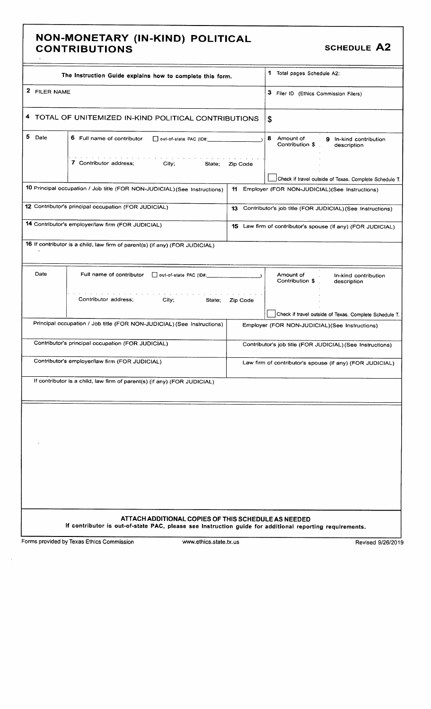#### NON- MONETARY (IN- KIND) POLITICAL CONTRIBUTIONS **SCHEDULE** A2

|              | The Instruction Guide explains how to complete this form.                                                                                                      |          | 1 Total pages Schedule A2:                                                                               |
|--------------|----------------------------------------------------------------------------------------------------------------------------------------------------------------|----------|----------------------------------------------------------------------------------------------------------|
| 2 FILER NAME |                                                                                                                                                                |          | 3 Filer ID (Ethics Commission Filers)                                                                    |
|              | 4 TOTAL OF UNITEMIZED IN-KIND POLITICAL CONTRIBUTIONS                                                                                                          |          | \$                                                                                                       |
| 5 Date       | 6 Full name of contributor<br>out-of-state PAC (ID#:                                                                                                           |          | 8<br>Amount of<br>9 In-kind contribution<br>Contribution \$<br>description                               |
|              | 7 Contributor address;<br>City;<br>State;                                                                                                                      | Zip Code |                                                                                                          |
|              | 10 Principal occupation / Job title (FOR NON-JUDICIAL) (See Instructions)                                                                                      | 11       | Check if travel outside of Texas. Complete Schedule T.<br>Employer (FOR NON-JUDICIAL) (See Instructions) |
|              | 12 Contributor's principal occupation (FOR JUDICIAL)                                                                                                           |          | 13 Contributor's job title (FOR JUDICIAL) (See Instructions)                                             |
|              | 14 Contributor's employer/law firm (FOR JUDICIAL)                                                                                                              |          | 15 Law firm of contributor's spouse (if any) (FOR JUDICIAL)                                              |
|              | 16 If contributor is a child, law firm of parent(s) (if any) (FOR JUDICIAL)                                                                                    |          |                                                                                                          |
| Date         | Full name of contributor<br>out-of-state PAC (ID#:                                                                                                             |          | Amount of<br>In-kind contribution<br>Contribution \$<br>description                                      |
|              | Contributor address;<br>City;<br>State;                                                                                                                        | Zip Code |                                                                                                          |
|              | Principal occupation / Job title (FOR NON-JUDICIAL) (See Instructions)                                                                                         |          | Check if travel outside of Texas. Complete Schedule T.<br>Employer (FOR NON-JUDICIAL) (See Instructions) |
|              | Contributor's principal occupation (FOR JUDICIAL)                                                                                                              |          | Contributor's job title (FOR JUDICIAL) (See Instructions)                                                |
|              | Contributor's employer/law firm (FOR JUDICIAL)                                                                                                                 |          | Law firm of contributor's spouse (if any) (FOR JUDICIAL)                                                 |
|              | If contributor is a child, law firm of parent(s) (if any) (FOR JUDICIAL)                                                                                       |          |                                                                                                          |
|              |                                                                                                                                                                |          |                                                                                                          |
|              |                                                                                                                                                                |          |                                                                                                          |
|              |                                                                                                                                                                |          |                                                                                                          |
|              |                                                                                                                                                                |          |                                                                                                          |
|              |                                                                                                                                                                |          |                                                                                                          |
|              |                                                                                                                                                                |          |                                                                                                          |
|              | ATTACH ADDITIONAL COPIES OF THIS SCHEDULE AS NEEDED<br>If contributor is out-of-state PAC, please see Instruction guide for additional reporting requirements. |          |                                                                                                          |
|              | Forms provided by Texas Ethics Commission<br>www.ethics.state.tx.us                                                                                            |          | Revised 9/26/2019                                                                                        |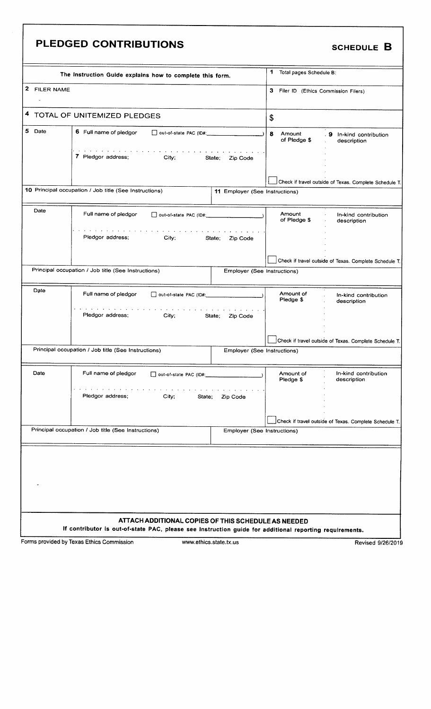|              | PLEDGED CONTRIBUTIONS                                                                                                                                                                                                                                         |                                |                                       | <b>SCHEDULE B</b>                                      |
|--------------|---------------------------------------------------------------------------------------------------------------------------------------------------------------------------------------------------------------------------------------------------------------|--------------------------------|---------------------------------------|--------------------------------------------------------|
|              | The Instruction Guide explains how to complete this form.                                                                                                                                                                                                     |                                | 1 Total pages Schedule B:             |                                                        |
| 2 FILER NAME |                                                                                                                                                                                                                                                               |                                | 3 Filer ID (Ethics Commission Filers) |                                                        |
|              | 4 TOTAL OF UNITEMIZED PLEDGES                                                                                                                                                                                                                                 |                                | \$                                    |                                                        |
| 5 Date       | 6 Full name of pledgor<br>Out-of-state PAC (ID#:                                                                                                                                                                                                              |                                | 8<br>Amount<br>of Pledge \$           | 9 In-kind contribution<br>description                  |
|              | the contract of the contract of the contract of the contract of the contract of the contract of the contract of the contract of the contract of the contract of the contract of the contract of the contract of the contract o<br>7 Pledgor address;<br>City; | State;<br>Zip Code             |                                       |                                                        |
|              |                                                                                                                                                                                                                                                               |                                |                                       | Check if travel outside of Texas. Complete Schedule T. |
|              | 10 Principal occupation / Job title (See Instructions)                                                                                                                                                                                                        | 11 Employer (See Instructions) |                                       |                                                        |
| Date         | Full name of pledgor<br>Out-of-state PAC (ID#:                                                                                                                                                                                                                |                                | Amount<br>of Pledge \$                | In-kind contribution<br>description                    |
|              | Pledgor address;<br><b>City</b> ; <b>City</b>                                                                                                                                                                                                                 | State;<br>Zip Code             |                                       |                                                        |
|              |                                                                                                                                                                                                                                                               |                                |                                       | Check if travel outside of Texas. Complete Schedule T. |
|              | Principal occupation / Job title (See Instructions)                                                                                                                                                                                                           | Employer (See Instructions)    |                                       |                                                        |
| Date         | Full name of pledgor                                                                                                                                                                                                                                          |                                | Amount of<br>Pledge \$                | In-kind contribution<br>description                    |
|              | and the service of the service of the<br>Pledgor address; City;                                                                                                                                                                                               | State; Zip Code                |                                       |                                                        |
|              |                                                                                                                                                                                                                                                               |                                |                                       | Check if travel outside of Texas. Complete Schedule T. |
|              | Principal occupation / Job title (See Instructions)                                                                                                                                                                                                           | Employer (See Instructions)    |                                       |                                                        |
| Date         | Full name of pledgor<br>out-of-state PAC (ID#:                                                                                                                                                                                                                |                                | Amount of<br>Pledge \$                | In-kind contribution<br>description                    |
|              | Pledgor address:<br>City;<br>State;                                                                                                                                                                                                                           | Zip Code                       |                                       |                                                        |
|              | Principal occupation / Job title (See Instructions)                                                                                                                                                                                                           | Employer (See Instructions)    |                                       | Check if travel outside of Texas. Complete Schedule T. |
|              |                                                                                                                                                                                                                                                               |                                |                                       |                                                        |
|              |                                                                                                                                                                                                                                                               |                                |                                       |                                                        |
|              |                                                                                                                                                                                                                                                               |                                |                                       |                                                        |
|              |                                                                                                                                                                                                                                                               |                                |                                       |                                                        |
|              | ATTACH ADDITIONAL COPIES OF THIS SCHEDULE AS NEEDED<br>If contributor is out-of-state PAC, please see Instruction guide for additional reporting requirements.                                                                                                |                                |                                       |                                                        |
|              | Forms provided by Texas Ethics Commission                                                                                                                                                                                                                     | www.ethics.state.tx.us         |                                       | Revised 9/26/2019                                      |

Е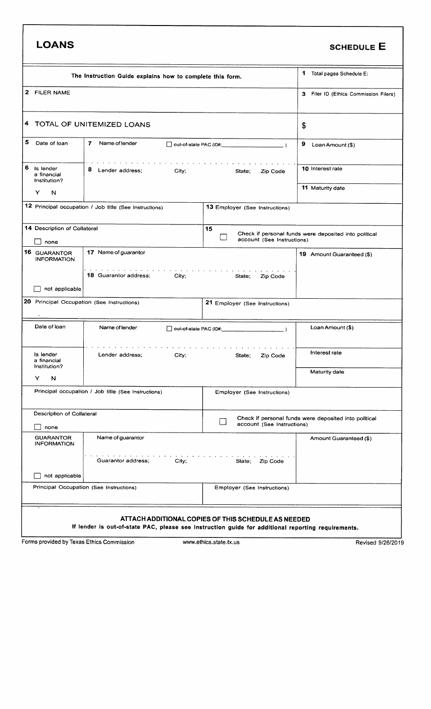| <b>LOANS</b>                                  |                                                                                                                                                                                                                                                              |                                                      | <b>SCHEDULE E</b>                                     |
|-----------------------------------------------|--------------------------------------------------------------------------------------------------------------------------------------------------------------------------------------------------------------------------------------------------------------|------------------------------------------------------|-------------------------------------------------------|
|                                               | The Instruction Guide explains how to complete this form.                                                                                                                                                                                                    |                                                      | 1 Total pages Schedule E:                             |
| 2 FILER NAME                                  |                                                                                                                                                                                                                                                              |                                                      | 3 Filer ID (Ethics Commission Filers)                 |
|                                               | 4 TOTAL OF UNITEMIZED LOANS                                                                                                                                                                                                                                  |                                                      | \$                                                    |
| 5<br>Date of loan                             | $\mathbf{7}$<br>Name of lender                                                                                                                                                                                                                               | Out-of-state PAC (ID#:                               | 9<br>Loan Amount (\$)                                 |
| 6<br>Is lender<br>a financial<br>Institution? | the contract of the contract of the contract of the contract of the contract of the contract of the contract of the contract of the contract of the contract of the contract of the contract of the contract of the contract o<br>8 Lender address;<br>City; | State;<br>Zip Code                                   | 10 Interest rate                                      |
| Y<br>N                                        |                                                                                                                                                                                                                                                              |                                                      | 11 Maturity date                                      |
|                                               | 12 Principal occupation / Job title (See Instructions)                                                                                                                                                                                                       | 13 Employer (See Instructions)                       |                                                       |
| 14 Description of Collateral<br>none          |                                                                                                                                                                                                                                                              | 15<br>account (See Instructions)                     | Check if personal funds were deposited into political |
| 16 GUARANTOR<br><b>INFORMATION</b>            | 17 Name of guarantor                                                                                                                                                                                                                                         |                                                      | 19 Amount Guaranteed (\$)                             |
| not applicable                                | 18 Guarantor address:<br>City;<br>20 Principal Occupation (See Instructions)                                                                                                                                                                                 | State;<br>Zip Code<br>21 Employer (See Instructions) |                                                       |
| Date of loan                                  | Name of lender                                                                                                                                                                                                                                               | $\Box$ out-of-state PAC (ID#:                        | Loan Amount (\$)                                      |
| Is lender<br>a financial<br>Institution?      | Lender address;<br>City;                                                                                                                                                                                                                                     | State;<br>Zip Code                                   | Interest rate                                         |
| Y<br>N                                        |                                                                                                                                                                                                                                                              |                                                      | Maturity date                                         |
|                                               | Principal occupation / Job title (See Instructions)                                                                                                                                                                                                          | Employer (See Instructions)                          |                                                       |
| Description of Collateral                     |                                                                                                                                                                                                                                                              |                                                      |                                                       |
| none                                          |                                                                                                                                                                                                                                                              | account (See Instructions)                           | Check if personal funds were deposited into political |
| <b>GUARANTOR</b><br><b>INFORMATION</b>        | Name of guarantor                                                                                                                                                                                                                                            |                                                      | Amount Guaranteed (\$)                                |
|                                               | Guarantor address;<br>City;                                                                                                                                                                                                                                  | State;<br>Zip Code                                   |                                                       |
| not applicable                                |                                                                                                                                                                                                                                                              |                                                      |                                                       |
|                                               | Principal Occupation (See Instructions)                                                                                                                                                                                                                      | Employer (See Instructions)                          |                                                       |
|                                               | If lender is out-of-state PAC, please see Instruction guide for additional reporting requirements.                                                                                                                                                           | ATTACH ADDITIONAL COPIES OF THIS SCHEDULE AS NEEDED  |                                                       |
| Forms provided by Texas Ethics Commission     |                                                                                                                                                                                                                                                              | www.ethics.state.tx.us                               | Revised 9/26/2019                                     |

 $\overline{\phantom{a}}$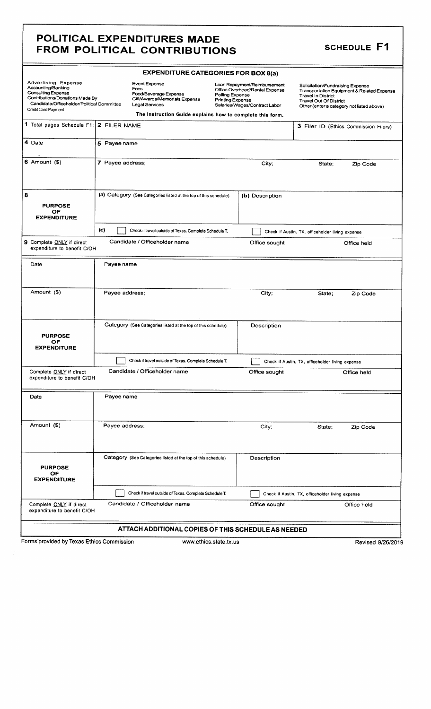#### POLITICAL EXPENDITURES MADE FROM POLITICAL CONTRIBUTIONS SCHEDULE F1

|                                                                                                                                                                                       |                  | <b>EXPENDITURE CATEGORIES FOR BOX 8(a)</b>                                                        |                                            |                                                                                                 |                                                                                                |                                                                                         |
|---------------------------------------------------------------------------------------------------------------------------------------------------------------------------------------|------------------|---------------------------------------------------------------------------------------------------|--------------------------------------------|-------------------------------------------------------------------------------------------------|------------------------------------------------------------------------------------------------|-----------------------------------------------------------------------------------------|
| <b>Advertising Expense</b><br>Accounting/Banking<br><b>Consulting Expense</b><br>Contributions/Donations Made By<br>Candidate/Officeholder/Political Committee<br>Credit Card Payment |                  | Event Expense<br>Fees<br>Food/Beverage Expense<br>Gift/Awards/Memorials Expense<br>Legal Services | Polling Expense<br><b>Printing Expense</b> | Loan Repayment/Reimbursement<br>Office Overhead/Rental Expense<br>Salaries/Wages/Contract Labor | Solicitation/Fundraising Expense<br><b>Travel In District</b><br><b>Travel Out Of District</b> | Transportation Equipment & Related Expense<br>Other (enter a category not listed above) |
|                                                                                                                                                                                       |                  | The Instruction Guide explains how to complete this form.                                         |                                            |                                                                                                 |                                                                                                |                                                                                         |
| 1 Total pages Schedule F1: 2 FILER NAME                                                                                                                                               |                  |                                                                                                   |                                            |                                                                                                 |                                                                                                | 3 Filer ID (Ethics Commission Filers)                                                   |
| 4 Date                                                                                                                                                                                | 5 Payee name     |                                                                                                   |                                            |                                                                                                 |                                                                                                |                                                                                         |
| $6$ Amount $(9)$                                                                                                                                                                      | 7 Payee address; |                                                                                                   |                                            | City;                                                                                           | State;                                                                                         | Zip Code                                                                                |
| 8<br><b>PURPOSE</b><br>OF<br><b>EXPENDITURE</b>                                                                                                                                       |                  | (a) Category (See Categories listed at the top of this schedule)                                  |                                            | (b) Description                                                                                 |                                                                                                |                                                                                         |
|                                                                                                                                                                                       | (c)              | Check if travel outside of Texas. Complete Schedule T.                                            |                                            |                                                                                                 | Check if Austin, TX, officeholder living expense                                               |                                                                                         |
| 9 Complete ONLY if direct<br>expenditure to benefit C/OH                                                                                                                              |                  | Candidate / Officeholder name                                                                     |                                            | Office sought                                                                                   |                                                                                                | Office held                                                                             |
| Date                                                                                                                                                                                  | Payee name       |                                                                                                   |                                            |                                                                                                 |                                                                                                |                                                                                         |
| Amount (\$)                                                                                                                                                                           | Payee address;   |                                                                                                   |                                            | City;                                                                                           | State:                                                                                         | Zip Code                                                                                |
| <b>PURPOSE</b><br>OF<br><b>EXPENDITURE</b>                                                                                                                                            |                  | Category (See Categories listed at the top of this schedule)                                      |                                            | Description                                                                                     |                                                                                                |                                                                                         |
|                                                                                                                                                                                       |                  | Check if travel outside of Texas. Complete Schedule T.                                            |                                            |                                                                                                 | Check if Austin, TX, officeholder living expense                                               |                                                                                         |
| Complete ONLY if direct<br>expenditure to benefit C/OH                                                                                                                                |                  | Candidate / Officeholder name                                                                     |                                            | Office sought                                                                                   |                                                                                                | Office held                                                                             |
| Date                                                                                                                                                                                  | Payee name       |                                                                                                   |                                            |                                                                                                 |                                                                                                |                                                                                         |
| Amount (\$)                                                                                                                                                                           | Payee address;   |                                                                                                   |                                            | City;                                                                                           | State;                                                                                         | Zip Code                                                                                |
| <b>PURPOSE</b><br>OF.<br><b>EXPENDITURE</b>                                                                                                                                           |                  | Category (See Categories listed at the top of this schedule)                                      |                                            | Description                                                                                     |                                                                                                |                                                                                         |
|                                                                                                                                                                                       |                  | Check if travel outside of Texas. Complete Schedule T.                                            |                                            |                                                                                                 | Check if Austin, TX, officeholder living expense                                               |                                                                                         |
| Complete ONLY if direct<br>expenditure to benefit C/OH                                                                                                                                |                  | Candidate / Officeholder name                                                                     |                                            | Office sought                                                                                   |                                                                                                | Office held                                                                             |
|                                                                                                                                                                                       |                  | ATTACH ADDITIONAL COPIES OF THIS SCHEDULE AS NEEDED                                               |                                            |                                                                                                 |                                                                                                |                                                                                         |
| Forms provided by Texas Ethics Commission                                                                                                                                             |                  |                                                                                                   | www.ethics.state.tx.us                     |                                                                                                 |                                                                                                | Revised 9/26/2019                                                                       |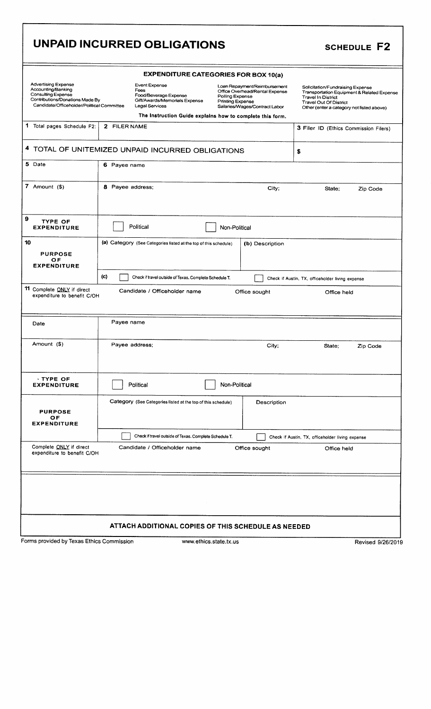|                                                                                                                                                                | UNPAID INCURRED OBLIGATIONS                                                                              |                                                                                                                                               | <b>SCHEDULE F2</b>                                                                                                                                                                        |
|----------------------------------------------------------------------------------------------------------------------------------------------------------------|----------------------------------------------------------------------------------------------------------|-----------------------------------------------------------------------------------------------------------------------------------------------|-------------------------------------------------------------------------------------------------------------------------------------------------------------------------------------------|
|                                                                                                                                                                |                                                                                                          | <b>EXPENDITURE CATEGORIES FOR BOX 10(a)</b>                                                                                                   |                                                                                                                                                                                           |
| <b>Advertising Expense</b><br>Accounting/Banking<br><b>Consulting Expense</b><br>Contributions/Donations Made By<br>Candidate/Officeholder/Political Committee | <b>Event Expense</b><br>Fees<br>Food/Beverage Expense<br>Gift/Awards/Memorials Expense<br>Legal Services | Loan Repayment/Reimbursement<br>Office Overhead/Rental Expense<br>Polling Expense<br><b>Printing Expense</b><br>Salaries/Wages/Contract Labor | Solicitation/Fundraising Expense<br>Transportation Equipment & Related Expense<br><b>Travel In District</b><br><b>Travel Out Of District</b><br>Other (enter a category not listed above) |
| 1 Total pages Schedule F2:                                                                                                                                     | The Instruction Guide explains how to complete this form.<br>2 FILER NAME                                |                                                                                                                                               |                                                                                                                                                                                           |
|                                                                                                                                                                |                                                                                                          |                                                                                                                                               | 3 Filer ID (Ethics Commission Filers)                                                                                                                                                     |
|                                                                                                                                                                | 4 TOTAL OF UNITEMIZED UNPAID INCURRED OBLIGATIONS                                                        |                                                                                                                                               | \$                                                                                                                                                                                        |
| 5 Date                                                                                                                                                         | 6 Payee name                                                                                             |                                                                                                                                               |                                                                                                                                                                                           |
| 7 Amount $($)$                                                                                                                                                 | 8 Payee address;                                                                                         | City;                                                                                                                                         | State;<br>Zip Code                                                                                                                                                                        |
| 9<br><b>TYPE OF</b><br><b>EXPENDITURE</b>                                                                                                                      | Political                                                                                                | Non-Political                                                                                                                                 |                                                                                                                                                                                           |
| 10<br><b>PURPOSE</b><br>OF<br><b>EXPENDITURE</b>                                                                                                               | (a) Category (See Categories listed at the top of this schedule)                                         | (b) Description                                                                                                                               |                                                                                                                                                                                           |
|                                                                                                                                                                | (c)<br>Check if travel outside of Texas. Complete Schedule T.                                            |                                                                                                                                               | Check if Austin, TX, officeholder living expense                                                                                                                                          |
| 11 Complete ONLY if direct<br>expenditure to benefit C/OH                                                                                                      | Candidate / Officeholder name                                                                            | Office sought                                                                                                                                 | Office held                                                                                                                                                                               |
| Date                                                                                                                                                           | Payee name                                                                                               |                                                                                                                                               |                                                                                                                                                                                           |
| Amount (\$)                                                                                                                                                    | Payee address:                                                                                           | City;                                                                                                                                         | State;<br>Zip Code                                                                                                                                                                        |
| $\cdot$ TYPE OF<br><b>EXPENDITURE</b>                                                                                                                          | Political                                                                                                | Non-Political                                                                                                                                 |                                                                                                                                                                                           |
| <b>PURPOSE</b><br>OF<br><b>EXPENDITURE</b>                                                                                                                     | Category (See Categories listed at the top of this schedule)                                             | Description                                                                                                                                   |                                                                                                                                                                                           |
|                                                                                                                                                                | Check if travel outside of Texas. Complete Schedule T.                                                   |                                                                                                                                               | Check if Austin, TX, officeholder living expense                                                                                                                                          |
| Complete ONLY if direct<br>expenditure to benefit C/OH                                                                                                         | Candidate / Officeholder name                                                                            | Office sought                                                                                                                                 | Office held                                                                                                                                                                               |
|                                                                                                                                                                |                                                                                                          |                                                                                                                                               |                                                                                                                                                                                           |
|                                                                                                                                                                | ATTACH ADDITIONAL COPIES OF THIS SCHEDULE AS NEEDED                                                      |                                                                                                                                               |                                                                                                                                                                                           |
| Forms provided by Texas Ethics Commission                                                                                                                      | www.ethics.state.tx.us                                                                                   |                                                                                                                                               | Revised 9/26/2019                                                                                                                                                                         |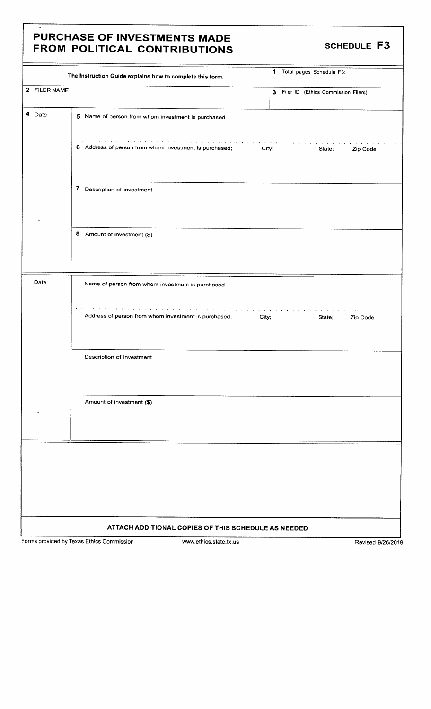### PURCHASE OF INVESTMENTS MADE FROM POLITICAL CONTRIBUTIONS SCHEDULE F3

|              | The Instruction Guide explains how to complete this form.                                                                                                                                                                                                                              | 1 Total pages Schedule F3:            |
|--------------|----------------------------------------------------------------------------------------------------------------------------------------------------------------------------------------------------------------------------------------------------------------------------------------|---------------------------------------|
| 2 FILER NAME |                                                                                                                                                                                                                                                                                        | 3 Filer ID (Ethics Commission Filers) |
| 4 Date       | 5 Name of person from whom investment is purchased                                                                                                                                                                                                                                     |                                       |
|              | and a series of the contract of the contract of the contract of the contract of the contract of the contract of<br>6 Address of person from whom investment is purchased;                                                                                                              | City;<br>State;<br>Zip Code           |
|              | 7 Description of investment                                                                                                                                                                                                                                                            |                                       |
|              | 8 Amount of investment (\$)                                                                                                                                                                                                                                                            |                                       |
| Date         | Name of person from whom investment is purchased                                                                                                                                                                                                                                       |                                       |
|              | the contract of the contract of the contract of the contract of the contract of the contract of the contract of the contract of the contract of the contract of the contract of the contract of the contract of the contract o<br>Address of person from whom investment is purchased; | City;<br>State;<br>Zip Code           |
|              | Description of investment                                                                                                                                                                                                                                                              |                                       |
|              | Amount of investment (\$)                                                                                                                                                                                                                                                              |                                       |
|              |                                                                                                                                                                                                                                                                                        |                                       |
|              |                                                                                                                                                                                                                                                                                        |                                       |
|              |                                                                                                                                                                                                                                                                                        |                                       |
|              |                                                                                                                                                                                                                                                                                        |                                       |
|              | ATTACH ADDITIONAL COPIES OF THIS SCHEDULE AS NEEDED                                                                                                                                                                                                                                    |                                       |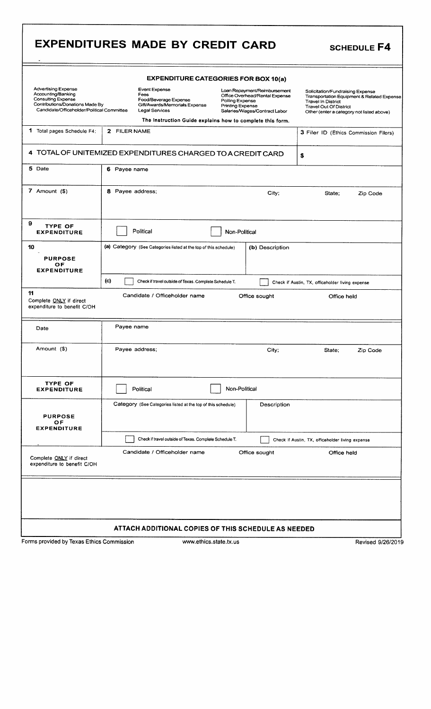|                                                                                                                                                                |                                                                                                   | <b>EXPENDITURE CATEGORIES FOR BOX 10(a)</b>                                                                                                                                                                |                                                                                                                                                                                           |          |
|----------------------------------------------------------------------------------------------------------------------------------------------------------------|---------------------------------------------------------------------------------------------------|------------------------------------------------------------------------------------------------------------------------------------------------------------------------------------------------------------|-------------------------------------------------------------------------------------------------------------------------------------------------------------------------------------------|----------|
| <b>Advertising Expense</b><br>Accounting/Banking<br><b>Consulting Expense</b><br>Contributions/Donations Made By<br>Candidate/Officeholder/Political Committee | Event Expense<br>Fees<br>Food/Beverage Expense<br>Gift/Awards/Memorials Expense<br>Legal Services | Loan Repayment/Reimbursement<br>Office Overhead/Rental Expense<br>Polling Expense<br><b>Printing Expense</b><br>Salaries/Wages/Contract Labor<br>The Instruction Guide explains how to complete this form. | Solicitation/Fundraising Expense<br>Transportation Equipment & Related Expense<br><b>Travel In District</b><br><b>Travel Out Of District</b><br>Other (enter a category not listed above) |          |
| 1 Total pages Schedule F4:                                                                                                                                     | 2 FILER NAME                                                                                      |                                                                                                                                                                                                            | 3 Filer ID (Ethics Commission Filers)                                                                                                                                                     |          |
|                                                                                                                                                                | 4 TOTAL OF UNITEMIZED EXPENDITURES CHARGED TO A CREDIT CARD                                       |                                                                                                                                                                                                            | \$                                                                                                                                                                                        |          |
| 5 Date                                                                                                                                                         | 6 Payee name                                                                                      |                                                                                                                                                                                                            |                                                                                                                                                                                           |          |
| 7 Amount $($ \$)                                                                                                                                               | 8 Payee address;                                                                                  | City;                                                                                                                                                                                                      | State:                                                                                                                                                                                    | Zip Code |
| 9<br><b>TYPE OF</b><br><b>EXPENDITURE</b>                                                                                                                      | Political                                                                                         | Non-Political                                                                                                                                                                                              |                                                                                                                                                                                           |          |
| 10<br><b>PURPOSE</b><br>OF<br><b>EXPENDITURE</b>                                                                                                               | (a) Category (See Categories listed at the top of this schedule)                                  | (b) Description                                                                                                                                                                                            |                                                                                                                                                                                           |          |
| 11                                                                                                                                                             | (c)<br>Check if travel outside of Texas. Complete Schedule T.<br>Candidate / Officeholder name    | Office sought                                                                                                                                                                                              | Check if Austin, TX, officeholder living expense<br>Office held                                                                                                                           |          |
| Complete ONLY if direct<br>expenditure to benefit C/OH                                                                                                         |                                                                                                   |                                                                                                                                                                                                            |                                                                                                                                                                                           |          |
| Date                                                                                                                                                           | Payee name                                                                                        |                                                                                                                                                                                                            |                                                                                                                                                                                           |          |
| Amount (\$)                                                                                                                                                    | Payee address;                                                                                    | City;                                                                                                                                                                                                      | State;                                                                                                                                                                                    | Zip Code |
| <b>TYPE OF</b><br><b>EXPENDITURE</b>                                                                                                                           | Political                                                                                         | Non-Political                                                                                                                                                                                              |                                                                                                                                                                                           |          |
|                                                                                                                                                                | Category (See Categories listed at the top of this schedule)                                      | Description                                                                                                                                                                                                |                                                                                                                                                                                           |          |
| <b>PURPOSE</b><br>ОF                                                                                                                                           |                                                                                                   |                                                                                                                                                                                                            |                                                                                                                                                                                           |          |
| <b>EXPENDITURE</b>                                                                                                                                             | Check if travel outside of Texas. Complete Schedule T.                                            |                                                                                                                                                                                                            | Check if Austin, TX, officeholder living expense                                                                                                                                          |          |
|                                                                                                                                                                | Candidate / Officeholder name                                                                     | Office sought                                                                                                                                                                                              | Office held                                                                                                                                                                               |          |
| Complete ONLY if direct<br>expenditure to benefit C/OH                                                                                                         |                                                                                                   |                                                                                                                                                                                                            |                                                                                                                                                                                           |          |

ſ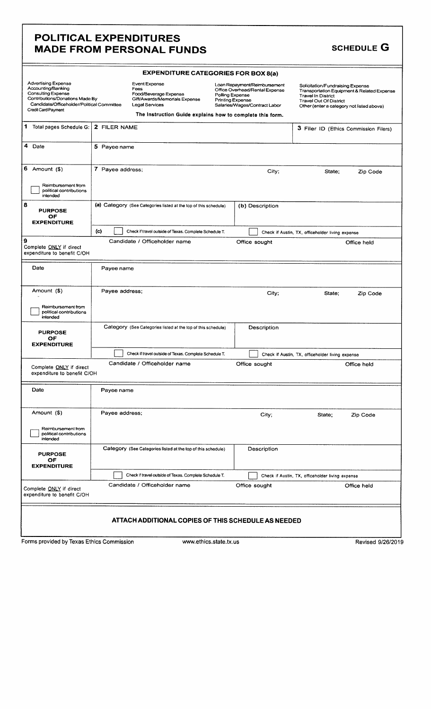### POLITICAL EXPENDITURES MADE FROM PERSONAL FUNDS SCHEDULE G

| <b>EXPENDITURE CATEGORIES FOR BOX 8(a)</b>                                                                                                                                     |                                                                                                                                                                       |                                                                                                                                                                                                                                                                                                                                            |  |  |
|--------------------------------------------------------------------------------------------------------------------------------------------------------------------------------|-----------------------------------------------------------------------------------------------------------------------------------------------------------------------|--------------------------------------------------------------------------------------------------------------------------------------------------------------------------------------------------------------------------------------------------------------------------------------------------------------------------------------------|--|--|
| <b>Advertising Expense</b><br>Accounting/Banking<br>Consulting Expense<br>Contributions/Donations Made By<br>Candidate/Officeholder/Political Committee<br>Credit Card Payment | <b>Event Expense</b><br>Fees<br>Food/Beverage Expense<br>Gift/Awards/Memorials Expense<br>Legal Services<br>The Instruction Guide explains how to complete this form. | Loan Repayment/Reimbursement<br>Solicitation/Fundraising Expense<br>Office Overhead/Rental Expense<br>Transportation Equipment & Related Expense<br>Polling Expense<br><b>Travel In District</b><br><b>Printing Expense</b><br><b>Travel Out Of District</b><br>Salaries/Wages/Contract Labor<br>Other (enter a category not listed above) |  |  |
| 1 Total pages Schedule G:                                                                                                                                                      | 2 FILER NAME                                                                                                                                                          | 3 Filer ID (Ethics Commission Filers)                                                                                                                                                                                                                                                                                                      |  |  |
| 4 Date                                                                                                                                                                         | 5 Payee name                                                                                                                                                          |                                                                                                                                                                                                                                                                                                                                            |  |  |
| 6 Amount $($ \$)<br>Reimbursement from<br>political contributions<br>intended                                                                                                  | 7 Payee address:                                                                                                                                                      | City;<br>State:<br>Zip Code                                                                                                                                                                                                                                                                                                                |  |  |
| 8<br><b>PURPOSE</b><br>OF<br><b>EXPENDITURE</b>                                                                                                                                | (a) Category (See Categories listed at the top of this schedule)                                                                                                      | (b) Description                                                                                                                                                                                                                                                                                                                            |  |  |
| و ا<br>Complete ONLY if direct<br>expenditure to benefit C/OH                                                                                                                  | (c)<br>Check if travel outside of Texas. Complete Schedule T.<br>Candidate / Officeholder name                                                                        | Check if Austin, TX, officeholder living expense<br>Office sought<br>Office held                                                                                                                                                                                                                                                           |  |  |
| Date                                                                                                                                                                           | Payee name                                                                                                                                                            |                                                                                                                                                                                                                                                                                                                                            |  |  |
| Amount (\$)<br>Reimbursement from<br>political contributions<br>intended                                                                                                       | Payee address;                                                                                                                                                        | City;<br>State;<br>Zip Code                                                                                                                                                                                                                                                                                                                |  |  |
| <b>PURPOSE</b><br>OF<br><b>EXPENDITURE</b>                                                                                                                                     | Category (See Categories listed at the top of this schedule)                                                                                                          | Description                                                                                                                                                                                                                                                                                                                                |  |  |
|                                                                                                                                                                                | Check if travel outside of Texas. Complete Schedule T.                                                                                                                | Check if Austin, TX, officeholder living expense                                                                                                                                                                                                                                                                                           |  |  |
| Complete ONLY if direct<br>expenditure to benefit C/OH                                                                                                                         | Candidate / Officeholder name                                                                                                                                         | Office sought<br>Office held                                                                                                                                                                                                                                                                                                               |  |  |
| Date                                                                                                                                                                           | Payee name                                                                                                                                                            |                                                                                                                                                                                                                                                                                                                                            |  |  |
| Amount (\$)                                                                                                                                                                    | Payee address;                                                                                                                                                        | City;<br>Zip Code<br>State;                                                                                                                                                                                                                                                                                                                |  |  |
| Reimbursement from<br>political contributions<br>intended                                                                                                                      |                                                                                                                                                                       |                                                                                                                                                                                                                                                                                                                                            |  |  |
| <b>PURPOSE</b><br>OF<br><b>EXPENDITURE</b>                                                                                                                                     | Category (See Categories listed at the top of this schedule)                                                                                                          | Description                                                                                                                                                                                                                                                                                                                                |  |  |
|                                                                                                                                                                                | Check if travel outside of Texas. Complete Schedule T.                                                                                                                | Check if Austin, TX, officeholder living expense                                                                                                                                                                                                                                                                                           |  |  |
| Complete ONLY if direct<br>expenditure to benefit C/OH                                                                                                                         | Candidate / Officeholder name                                                                                                                                         | Office sought<br>Office held                                                                                                                                                                                                                                                                                                               |  |  |
|                                                                                                                                                                                | ATTACH ADDITIONAL COPIES OF THIS SCHEDULE AS NEEDED                                                                                                                   |                                                                                                                                                                                                                                                                                                                                            |  |  |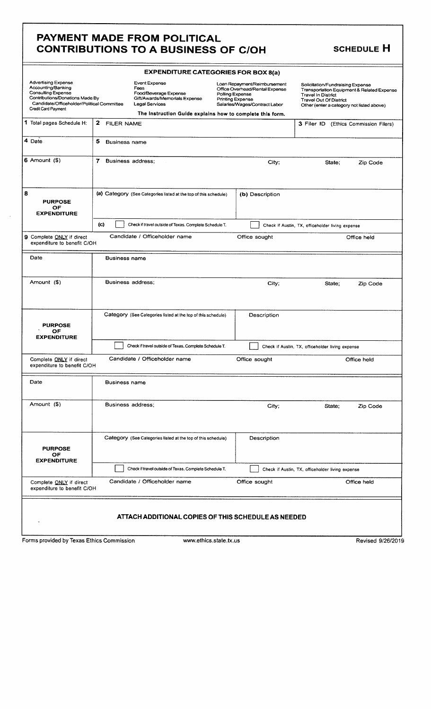### PAYMENT MADE FROM POLITICAL CONTRIBUTIONS TO A BUSINESS OF C/OH SCHEDULE H

|                                                                                                                                                                                       | <b>EXPENDITURE CATEGORIES FOR BOX 8(a)</b> |                                                                                                                                                                |                                     |                                                                                                 |                                                                                                                                             |                                            |
|---------------------------------------------------------------------------------------------------------------------------------------------------------------------------------------|--------------------------------------------|----------------------------------------------------------------------------------------------------------------------------------------------------------------|-------------------------------------|-------------------------------------------------------------------------------------------------|---------------------------------------------------------------------------------------------------------------------------------------------|--------------------------------------------|
| <b>Advertising Expense</b><br>Accounting/Banking<br><b>Consulting Expense</b><br>Contributions/Donations Made By<br>Candidate/Officeholder/Political Committee<br>Credit Card Payment |                                            | Event Expense<br>Fees<br>Food/Beverage Expense<br>Gift/Awards/Memorials Expense<br>Legal Services<br>The Instruction Guide explains how to complete this form. | Polling Expense<br>Printing Expense | Loan Repayment/Reimbursement<br>Office Overhead/Rental Expense<br>Salaries/Wages/Contract Labor | Solicitation/Fundraising Expense<br><b>Travel In District</b><br><b>Travel Out Of District</b><br>Other (enter a category not listed above) | Transportation Equipment & Related Expense |
| 1 Total pages Schedule H:                                                                                                                                                             | $\mathbf{2}^-$<br><b>FILER NAME</b>        |                                                                                                                                                                |                                     |                                                                                                 | 3 Filer ID (Ethics Commission Filers)                                                                                                       |                                            |
| 4 Date                                                                                                                                                                                | 5<br><b>Business name</b>                  |                                                                                                                                                                |                                     |                                                                                                 |                                                                                                                                             |                                            |
| $6$ Amount $(9)$                                                                                                                                                                      | 7                                          | Business address:                                                                                                                                              |                                     | City;                                                                                           | State;                                                                                                                                      | Zip Code                                   |
| 8<br><b>PURPOSE</b><br>OF<br><b>EXPENDITURE</b>                                                                                                                                       |                                            | (a) Category (See Categories listed at the top of this schedule)                                                                                               |                                     | (b) Description                                                                                 |                                                                                                                                             |                                            |
|                                                                                                                                                                                       | $\left( c \right)$                         | Check if travel outside of Texas. Complete Schedule T.                                                                                                         |                                     |                                                                                                 | Check if Austin, TX, officeholder living expense                                                                                            |                                            |
| 9 Complete ONLY if direct<br>expenditure to benefit C/OH                                                                                                                              |                                            | Candidate / Officeholder name                                                                                                                                  |                                     | Office sought                                                                                   |                                                                                                                                             | Office held                                |
| Date                                                                                                                                                                                  | <b>Business name</b>                       |                                                                                                                                                                |                                     |                                                                                                 |                                                                                                                                             |                                            |
| Amount (\$)                                                                                                                                                                           |                                            | Business address;                                                                                                                                              |                                     | City;                                                                                           | State;                                                                                                                                      | Zip Code                                   |
| <b>PURPOSE</b><br>OF<br><b>EXPENDITURE</b>                                                                                                                                            |                                            | Category (See Categories listed at the top of this schedule)                                                                                                   |                                     | Description                                                                                     |                                                                                                                                             |                                            |
|                                                                                                                                                                                       |                                            | Check if travel outside of Texas. Complete Schedule T.                                                                                                         |                                     |                                                                                                 | Check if Austin, TX, officeholder living expense                                                                                            |                                            |
| Complete ONLY if direct<br>expenditure to benefit C/OH                                                                                                                                |                                            | Candidate / Officeholder name                                                                                                                                  |                                     | Office sought                                                                                   |                                                                                                                                             | Office held                                |
| Date                                                                                                                                                                                  | <b>Business name</b>                       |                                                                                                                                                                |                                     |                                                                                                 |                                                                                                                                             |                                            |
| Amount (\$)                                                                                                                                                                           |                                            | Business address;                                                                                                                                              |                                     | City;                                                                                           | State:                                                                                                                                      | Zip Code                                   |
| <b>PURPOSE</b><br><b>OF</b><br><b>EXPENDITURE</b>                                                                                                                                     |                                            | Category (See Categories listed at the top of this schedule)                                                                                                   |                                     | Description                                                                                     |                                                                                                                                             |                                            |
|                                                                                                                                                                                       |                                            | Check if travel outside of Texas. Complete Schedule T.                                                                                                         |                                     |                                                                                                 | Check if Austin, TX, officeholder living expense                                                                                            |                                            |
| Complete ONLY if direct<br>expenditure to benefit C/OH                                                                                                                                |                                            | Candidate / Officeholder name                                                                                                                                  |                                     | Office sought                                                                                   |                                                                                                                                             | Office held                                |
|                                                                                                                                                                                       |                                            | ATTACH ADDITIONAL COPIES OF THIS SCHEDULE AS NEEDED                                                                                                            |                                     |                                                                                                 |                                                                                                                                             |                                            |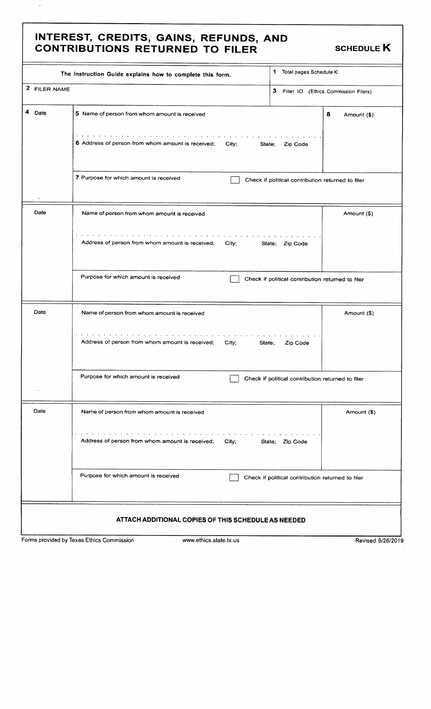### INTEREST, CREDITS, GAINS, REFUNDS, AND CONTRIBUTIONS RETURNED TO FILER SCHEDULE K

 $\downarrow$ 

| 2 FILER NAME |                                                                                                                                          |                                                   |                  |
|--------------|------------------------------------------------------------------------------------------------------------------------------------------|---------------------------------------------------|------------------|
|              |                                                                                                                                          | 3 Filer ID (Ethics Commission Filers)             |                  |
| Date         | 5 Name of person from whom amount is received                                                                                            |                                                   | 8<br>Amount (\$) |
|              | والمتعاط والمتعاونة والمتعاونة والمتعاونة والمتعاونة والمتعاونة والمتعاونة<br>6 Address of person from whom amount is received;<br>City; | State;<br>Zip Code                                |                  |
|              | 7 Purpose for which amount is received                                                                                                   | Check if political contribution returned to filer |                  |
| Date         | Name of person from whom amount is received                                                                                              | Amount (\$)                                       |                  |
|              | the contract of the contract of the contract of the<br>Address of person from whom amount is received;<br>City;                          | State; Zip Code                                   |                  |
|              | Purpose for which amount is received                                                                                                     | Check if political contribution returned to filer |                  |
| Date         | Name of person from whom amount is received                                                                                              |                                                   | Amount (\$)      |
|              | the contract of the contract of the contract of the<br>Address of person from whom amount is received;<br>City;                          | State;<br>Zip Code                                |                  |
|              | Purpose for which amount is received                                                                                                     | Check if political contribution returned to filer |                  |
| Date         | Name of person from whom amount is received                                                                                              |                                                   | Amount (\$)      |
|              | Address of person from whom amount is received;<br>City;                                                                                 | State:<br>Zip Code                                |                  |
|              | Purpose for which amount is received                                                                                                     | Check if political contribution returned to filer |                  |
|              | ATTACH ADDITIONAL COPIES OF THIS SCHEDULE AS NEEDED                                                                                      |                                                   |                  |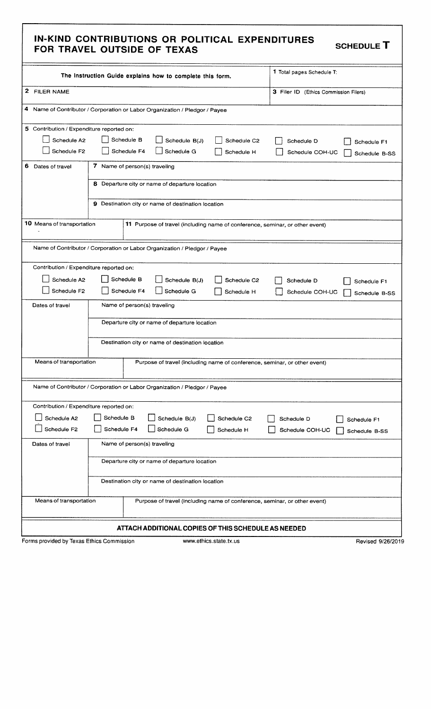#### IN- KIND CONTRIBUTIONS OR POLITICAL EXPENDITURES FOR TRAVEL OUTSIDE OF TEXAS

SCHEDULE T

|                                           | The Instruction Guide explains how to complete this form.                    | 1 Total pages Schedule T:             |  |
|-------------------------------------------|------------------------------------------------------------------------------|---------------------------------------|--|
| 2 FILER NAME                              |                                                                              | 3 Filer ID (Ethics Commission Filers) |  |
|                                           | 4 Name of Contributor / Corporation or Labor Organization / Pledgor / Payee  |                                       |  |
| 5 Contribution / Expenditure reported on: |                                                                              |                                       |  |
| Schedule A2                               | Schedule B<br>Schedule B(J)<br>Schedule C <sub>2</sub>                       | Schedule D<br>Schedule F1             |  |
| Schedule F2                               | Schedule F4<br>Schedule G<br>Schedule H                                      | Schedule COH-UC<br>Schedule B-SS      |  |
| 6.<br>Dates of travel                     | 7 Name of person(s) traveling                                                |                                       |  |
|                                           | 8 Departure city or name of departure location                               |                                       |  |
|                                           | 9 Destination city or name of destination location                           |                                       |  |
| 10 Means of transportation                | 11 Purpose of travel (including name of conference, seminar, or other event) |                                       |  |
|                                           | Name of Contributor / Corporation or Labor Organization / Pledgor / Payee    |                                       |  |
| Contribution / Expenditure reported on:   |                                                                              |                                       |  |
| Schedule A2                               | Schedule B<br>Schedule B(J)<br>Schedule C2                                   | Schedule D<br>Schedule F1             |  |
| Schedule F2                               | Schedule F4<br>Schedule G<br>Schedule H                                      | Schedule COH-UC<br>Schedule B-SS      |  |
| Dates of travel                           | Name of person(s) traveling                                                  |                                       |  |
|                                           | Departure city or name of departure location                                 |                                       |  |
|                                           | Destination city or name of destination location                             |                                       |  |
| Means of transportation                   | Purpose of travel (including name of conference, seminar, or other event)    |                                       |  |
|                                           | Name of Contributor / Corporation or Labor Organization / Pledgor / Payee    |                                       |  |
| Contribution / Expenditure reported on:   |                                                                              |                                       |  |
| Schedule A2                               | Schedule B<br>Schedule B(J)<br>Schedule C2                                   | Schedule D<br>Schedule F1             |  |
| Schedule F2                               | Schedule F4<br>Schedule G<br>Schedule H                                      | Schedule COH-UC<br>Schedule B-SS      |  |
| Dates of travel                           | Name of person(s) traveling                                                  |                                       |  |
|                                           | Departure city or name of departure location                                 |                                       |  |
|                                           | Destination city or name of destination location                             |                                       |  |
| Means of transportation                   | Purpose of travel (including name of conference, seminar, or other event)    |                                       |  |
|                                           | ATTACH ADDITIONAL COPIES OF THIS SCHEDULE AS NEEDED                          |                                       |  |
| Forms provided by Texas Ethics Commission | www.ethics.state.tx.us                                                       | Revised 9/26/2019                     |  |